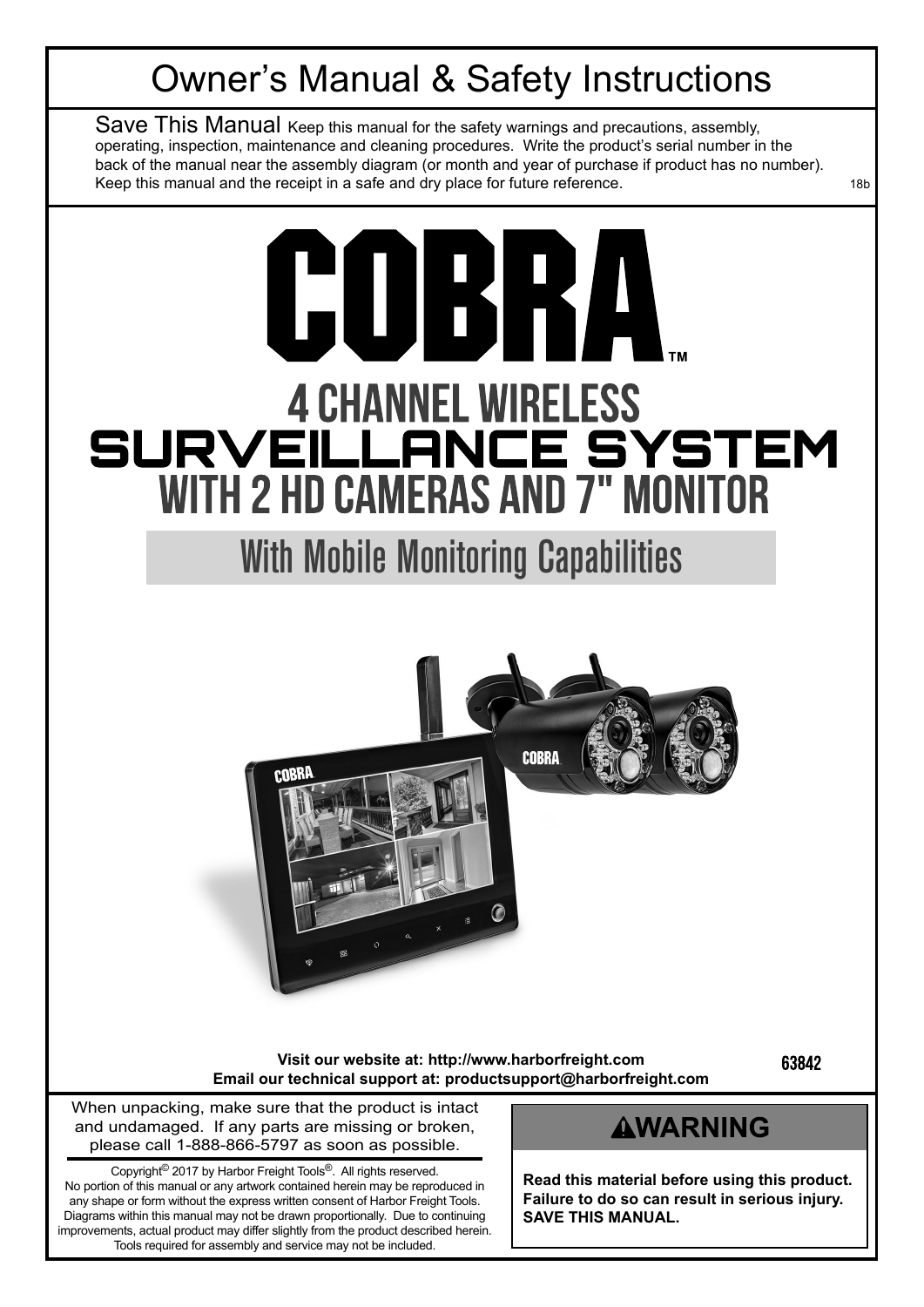## Owner's Manual & Safety Instructions

Save This Manual Keep this manual for the safety warnings and precautions, assembly, operating, inspection, maintenance and cleaning procedures. Write the product's serial number in the back of the manual near the assembly diagram (or month and year of purchase if product has no number). Keep this manual and the receipt in a safe and dry place for future reference. The manual state of the receipt

## **GUBRA 4 CHANNEL WIRELESS SURVEILLANCE SYSTEM** WITH 2 HD CAMERAS AND 7" MONITOR

With Mobile Monitoring Capabilities



**Visit our website at: http://www.harborfreight.com Email our technical support at: productsupport@harborfreight.com** 63842

When unpacking, make sure that the product is intact and undamaged. If any parts are missing or broken, please call 1-888-866-5797 as soon as possible.

Copyright© 2017 by Harbor Freight Tools®. All rights reserved. No portion of this manual or any artwork contained herein may be reproduced in any shape or form without the express written consent of Harbor Freight Tools. Diagrams within this manual may not be drawn proportionally. Due to continuing improvements, actual product may differ slightly from the product described herein. Tools required for assembly and service may not be included.

## **AWARNING**

**Read this material before using this product. Failure to do so can result in serious injury. SAVE THIS MANUAL.**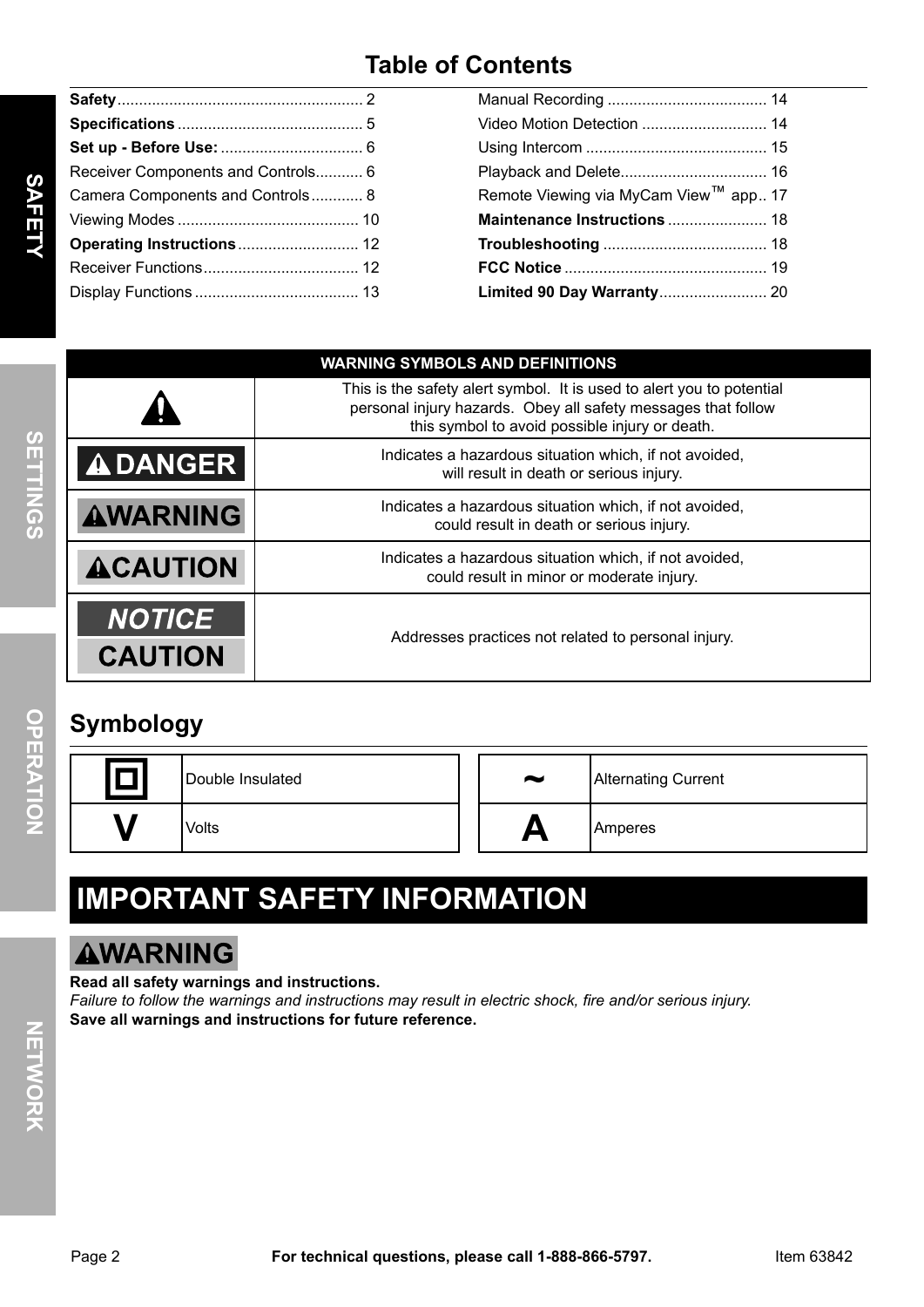## **Table of Contents**

| Receiver Components and Controls 6 |  |
|------------------------------------|--|
| Camera Components and Controls 8   |  |
|                                    |  |
|                                    |  |
|                                    |  |
|                                    |  |
|                                    |  |

| Remote Viewing via MyCam View™ app 17 |
|---------------------------------------|
| Maintenance Instructions  18          |
|                                       |
|                                       |
|                                       |

|                                 | <b>WARNING SYMBOLS AND DEFINITIONS</b>                                                                                                                                                   |  |  |  |
|---------------------------------|------------------------------------------------------------------------------------------------------------------------------------------------------------------------------------------|--|--|--|
|                                 | This is the safety alert symbol. It is used to alert you to potential<br>personal injury hazards. Obey all safety messages that follow<br>this symbol to avoid possible injury or death. |  |  |  |
| <b>ADANGER</b>                  | Indicates a hazardous situation which, if not avoided,<br>will result in death or serious injury.                                                                                        |  |  |  |
| <b>AWARNING</b>                 | Indicates a hazardous situation which, if not avoided,<br>could result in death or serious injury.                                                                                       |  |  |  |
| <b>ACAUTION</b>                 | Indicates a hazardous situation which, if not avoided,<br>could result in minor or moderate injury.                                                                                      |  |  |  |
| <b>NOTICE</b><br><b>CAUTION</b> | Addresses practices not related to personal injury.                                                                                                                                      |  |  |  |
|                                 |                                                                                                                                                                                          |  |  |  |

## **Symbology**

| Double Insulated | $\tilde{\phantom{a}}$ | <b>Alternating Current</b> |
|------------------|-----------------------|----------------------------|
| Volts            |                       | <b>Amperes</b>             |

## **IMpORTANT SAFETy INFORMATION**

## **AWARNING**

#### **Read all safety warnings and instructions.**

*Failure to follow the warnings and instructions may result in electric shock, fire and/or serious injury.* **Save all warnings and instructions for future reference.**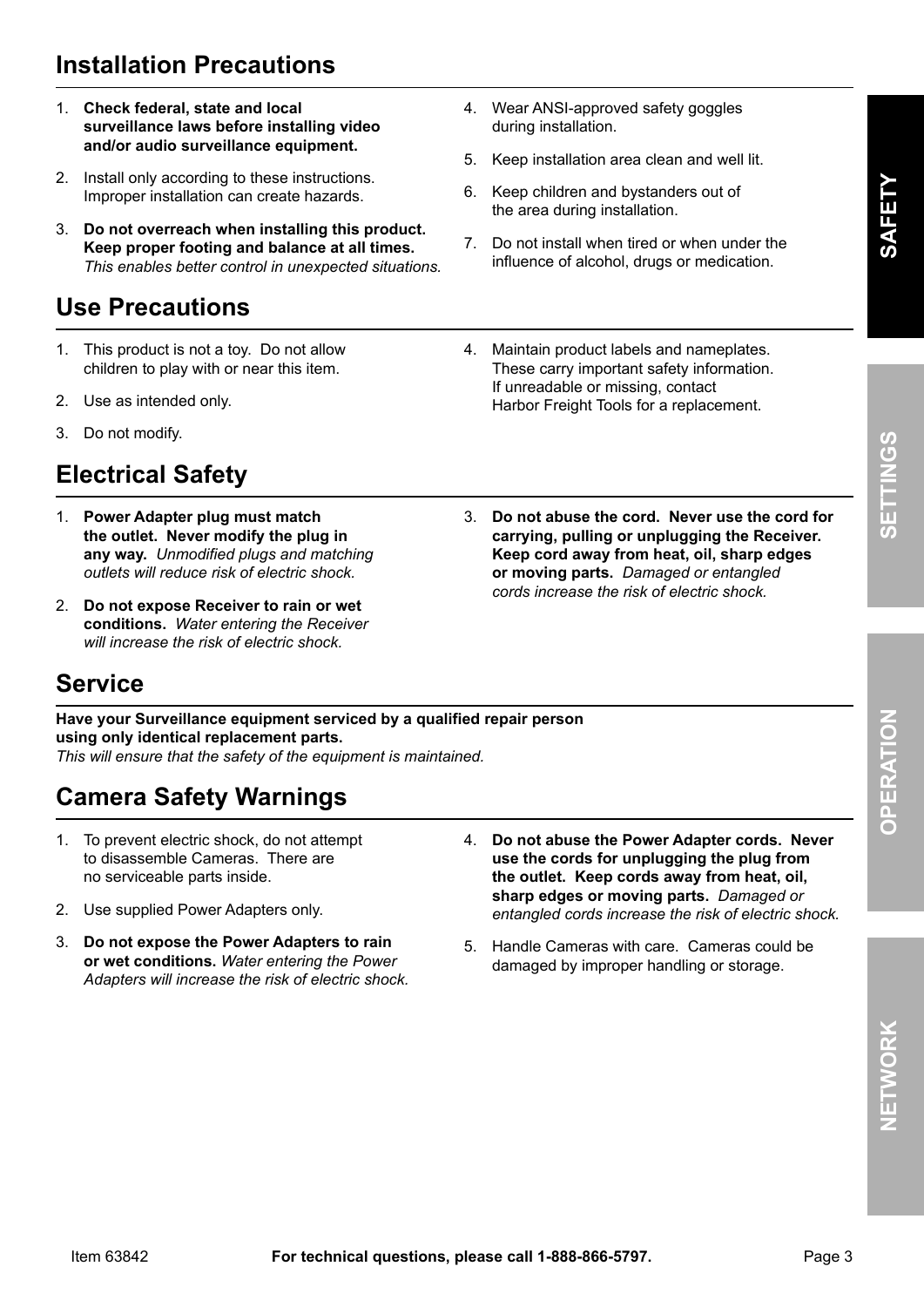## **Installation precautions**

- 1. **Check federal, state and local surveillance laws before installing video and/or audio surveillance equipment.**
- 2. Install only according to these instructions. Improper installation can create hazards.
- 3. **Do not overreach when installing this product. keep proper footing and balance at all times.** *This enables better control in unexpected situations.*

## **Use precautions**

- 1. This product is not a toy. Do not allow children to play with or near this item.
- 2. Use as intended only.
- 3. Do not modify.

## **Electrical Safety**

- 1. **power Adapter plug must match the outlet. Never modify the plug in any way.** *Unmodified plugs and matching outlets will reduce risk of electric shock.*
- 2. **Do not expose Receiver to rain or wet conditions.** *Water entering the Receiver will increase the risk of electric shock.*
- 4. Wear ANSI-approved safety goggles during installation.
- 5. Keep installation area clean and well lit.
- 6. Keep children and bystanders out of the area during installation.
- 7. Do not install when tired or when under the influence of alcohol, drugs or medication.
- 4. Maintain product labels and nameplates. These carry important safety information. If unreadable or missing, contact Harbor Freight Tools for a replacement.
- 3. **Do not abuse the cord. Never use the cord for carrying, pulling or unplugging the Receiver. keep cord away from heat, oil, sharp edges or moving parts.** *Damaged or entangled cords increase the risk of electric shock.*

## **Service**

**Have your Surveillance equipment serviced by a qualified repair person using only identical replacement parts.** 

*This will ensure that the safety of the equipment is maintained.*

## **Camera Safety warnings**

- 1. To prevent electric shock, do not attempt to disassemble Cameras. There are no serviceable parts inside.
- 2. Use supplied Power Adapters only.
- 3. **Do not expose the power Adapters to rain or wet conditions.** *Water entering the Power Adapters will increase the risk of electric shock.*
- 4. **Do not abuse the power Adapter cords. Never use the cords for unplugging the plug from the outlet. keep cords away from heat, oil, sharp edges or moving parts.** *Damaged or entangled cords increase the risk of electric shock.*
- 5. Handle Cameras with care. Cameras could be damaged by improper handling or storage.

**NET**

**wOR**

**k**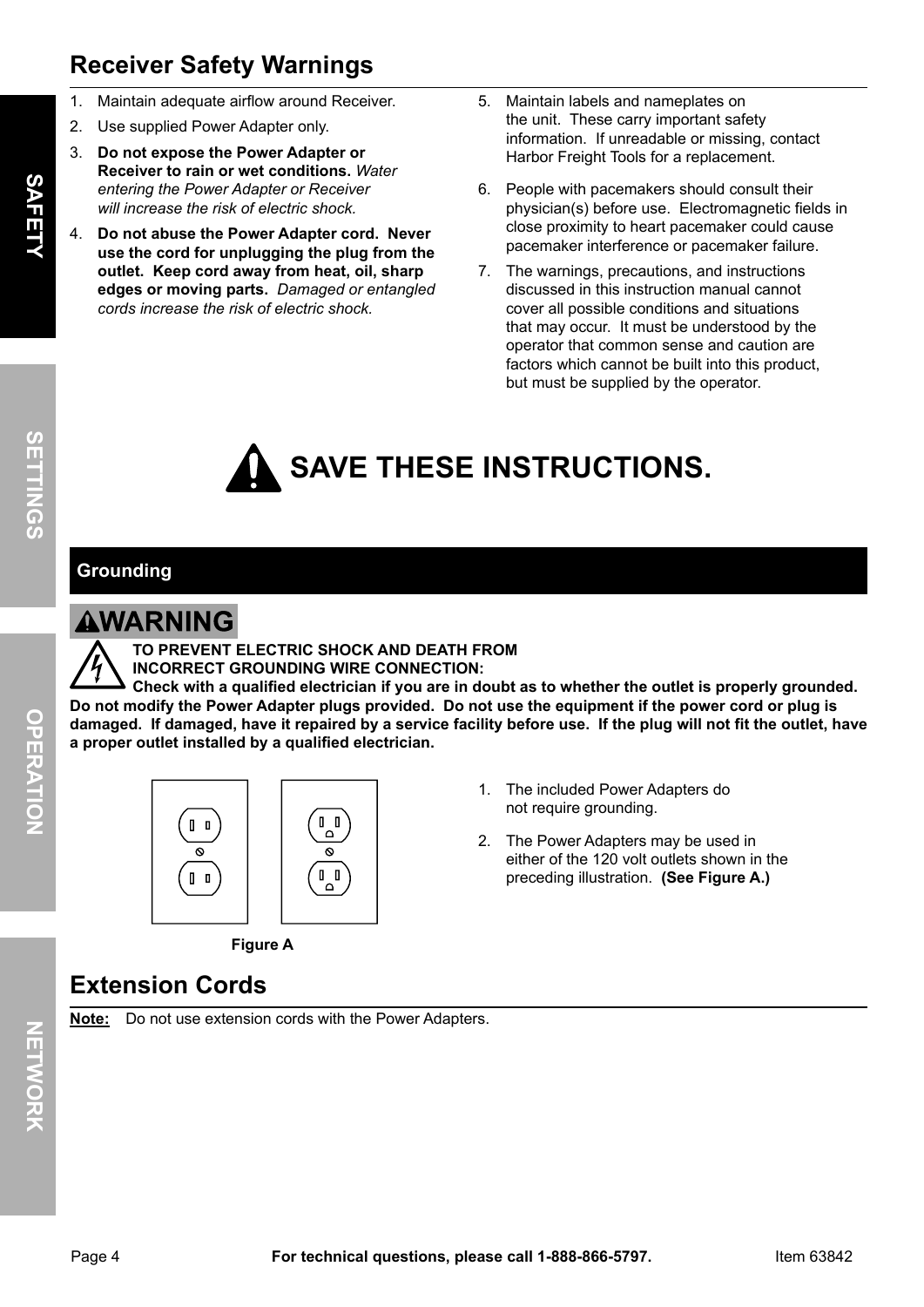## **Receiver Safety warnings**

- 1. Maintain adequate airflow around Receiver.
- 2. Use supplied Power Adapter only.
- 3. **Do not expose the power Adapter or Receiver to rain or wet conditions.** *Water entering the Power Adapter or Receiver will increase the risk of electric shock.*
- 4. **Do not abuse the power Adapter cord. Never use the cord for unplugging the plug from the outlet. keep cord away from heat, oil, sharp edges or moving parts.** *Damaged or entangled cords increase the risk of electric shock.*
- 5. Maintain labels and nameplates on the unit. These carry important safety information. If unreadable or missing, contact Harbor Freight Tools for a replacement.
- 6. People with pacemakers should consult their physician(s) before use. Electromagnetic fields in close proximity to heart pacemaker could cause pacemaker interference or pacemaker failure.
- 7. The warnings, precautions, and instructions discussed in this instruction manual cannot cover all possible conditions and situations that may occur. It must be understood by the operator that common sense and caution are factors which cannot be built into this product, but must be supplied by the operator.

## **SAVE THESE INSTRUCTIONS.**

#### **grounding**

#### **AWARNING**

**TO pREVENT ELECTRIC SHOCk AND DEATH FROM INCORRECT gROUNDINg wIRE CONNECTION:**

**Check with a qualified electrician if you are in doubt as to whether the outlet is properly grounded. Do not modify the power Adapter plugs provided. Do not use the equipment if the power cord or plug is damaged. If damaged, have it repaired by a service facility before use. If the plug will not fit the outlet, have a proper outlet installed by a qualified electrician.**





- 1. The included Power Adapters do not require grounding.
- 2. The Power Adapters may be used in either of the 120 volt outlets shown in the preceding illustration. **(See Figure A.)**

## **Extension Cords**

**Note:** Do not use extension cords with the Power Adapters.

**Figure A**

**OpERATION**

OPERATION

**SETTIN**

**g** <u>(၇</u>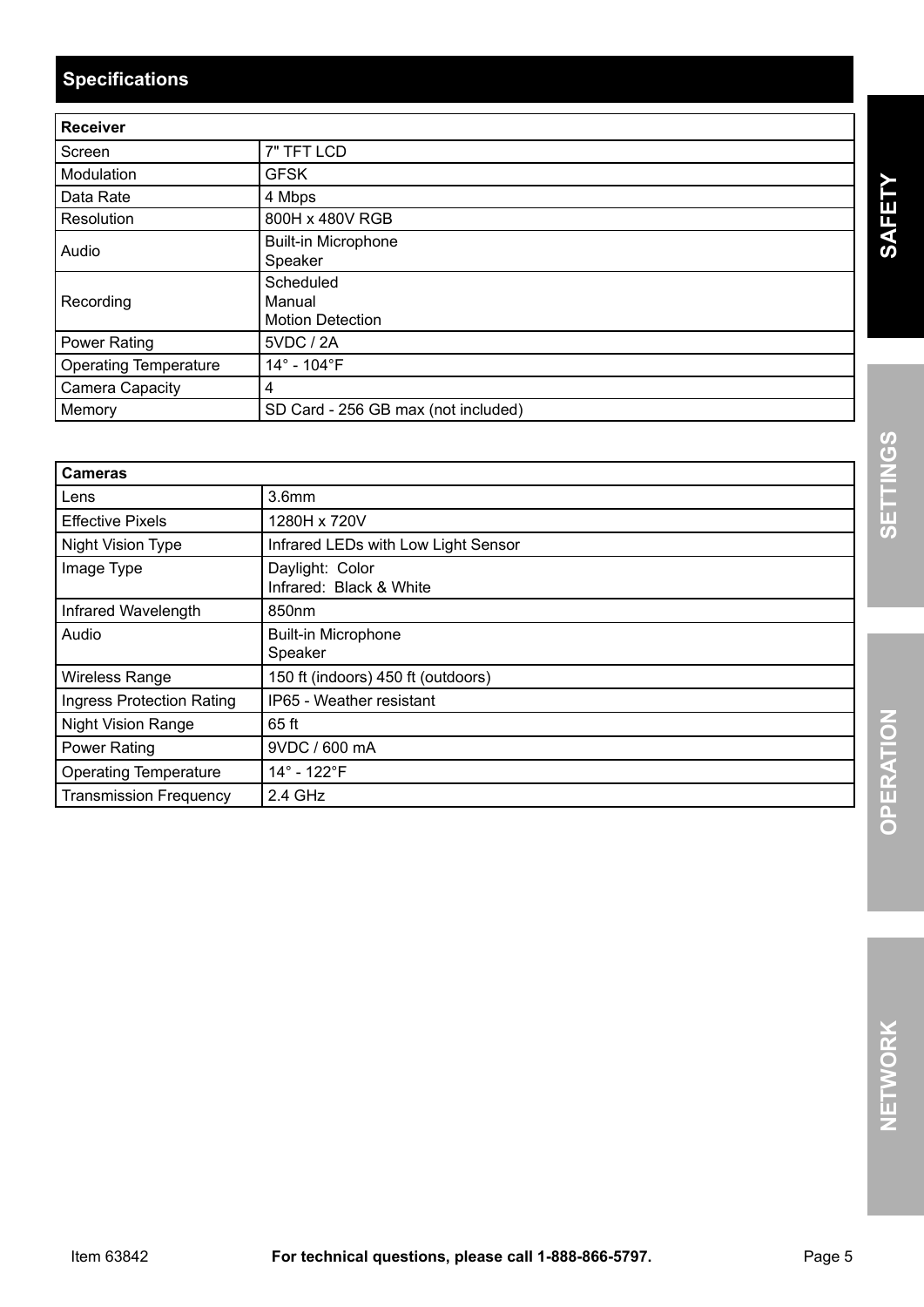## **Specifications**

| <b>Receiver</b>              |                                                |
|------------------------------|------------------------------------------------|
| Screen                       | 7" TFT LCD                                     |
| Modulation                   | <b>GFSK</b>                                    |
| Data Rate                    | 4 Mbps                                         |
| Resolution                   | 800H x 480V RGB                                |
| Audio                        | <b>Built-in Microphone</b><br>Speaker          |
| Recording                    | Scheduled<br>Manual<br><b>Motion Detection</b> |
| <b>Power Rating</b>          | 5VDC / 2A                                      |
| <b>Operating Temperature</b> | 14° - 104°F                                    |
| <b>Camera Capacity</b>       | 4                                              |
| Memory                       | SD Card - 256 GB max (not included)            |

| <b>Cameras</b>                   |                                            |
|----------------------------------|--------------------------------------------|
| Lens                             | 3.6 <sub>mm</sub>                          |
| <b>Effective Pixels</b>          | 1280H x 720V                               |
| Night Vision Type                | Infrared LEDs with Low Light Sensor        |
| Image Type                       | Daylight: Color<br>Infrared: Black & White |
| Infrared Wavelength              | 850nm                                      |
| Audio                            | <b>Built-in Microphone</b><br>Speaker      |
| <b>Wireless Range</b>            | 150 ft (indoors) 450 ft (outdoors)         |
| <b>Ingress Protection Rating</b> | IP65 - Weather resistant                   |
| <b>Night Vision Range</b>        | 65 ft                                      |
| Power Rating                     | 9VDC / 600 mA                              |
| <b>Operating Temperature</b>     | 14° - 122°F                                |
| <b>Transmission Frequency</b>    | $2.4$ GHz                                  |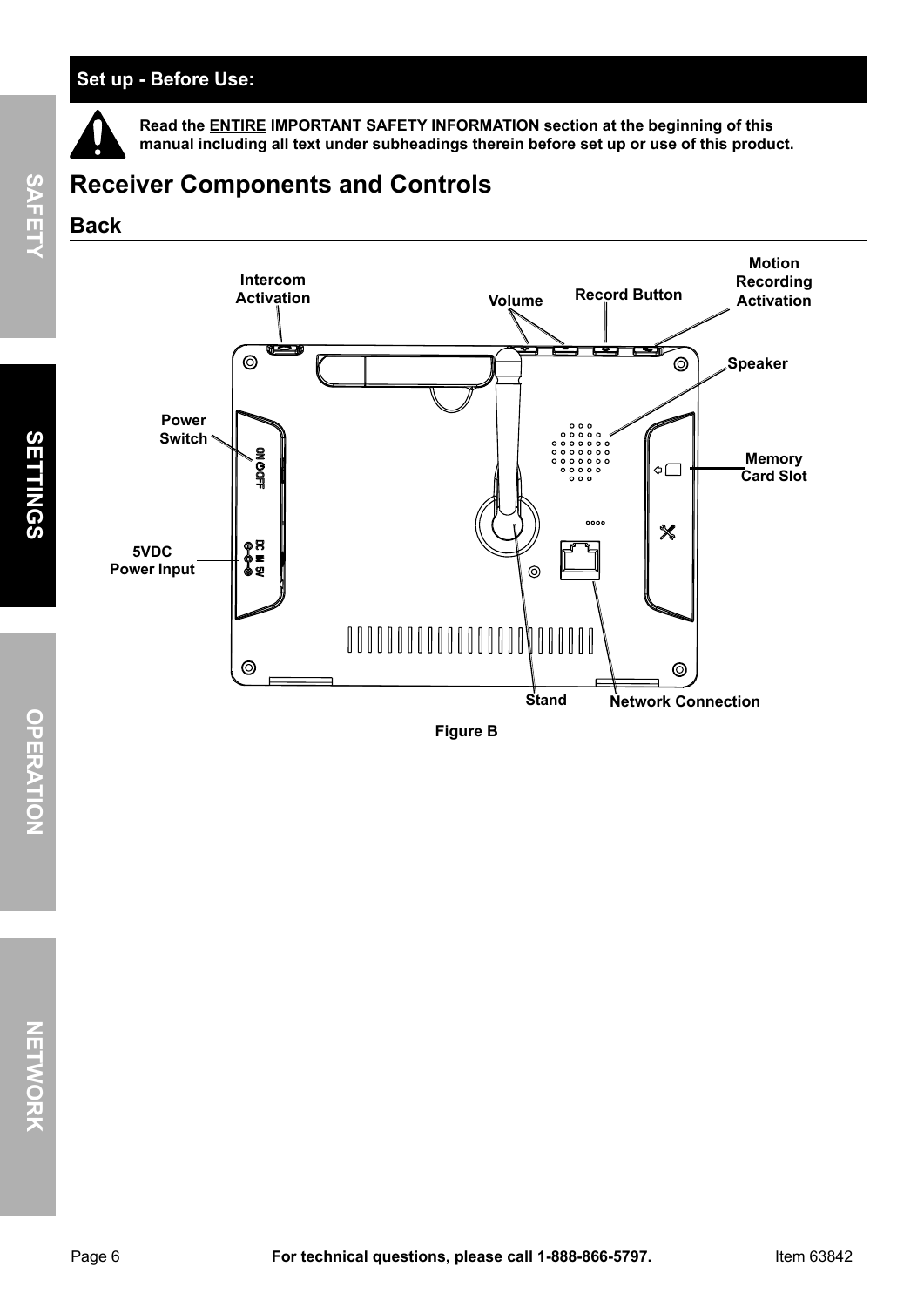#### **Set up - Before Use:**

**Read the ENTIRE IMpORTANT SAFETy INFORMATION section at the beginning of this manual including all text under subheadings therein before set up or use of this product.**





**Figure B**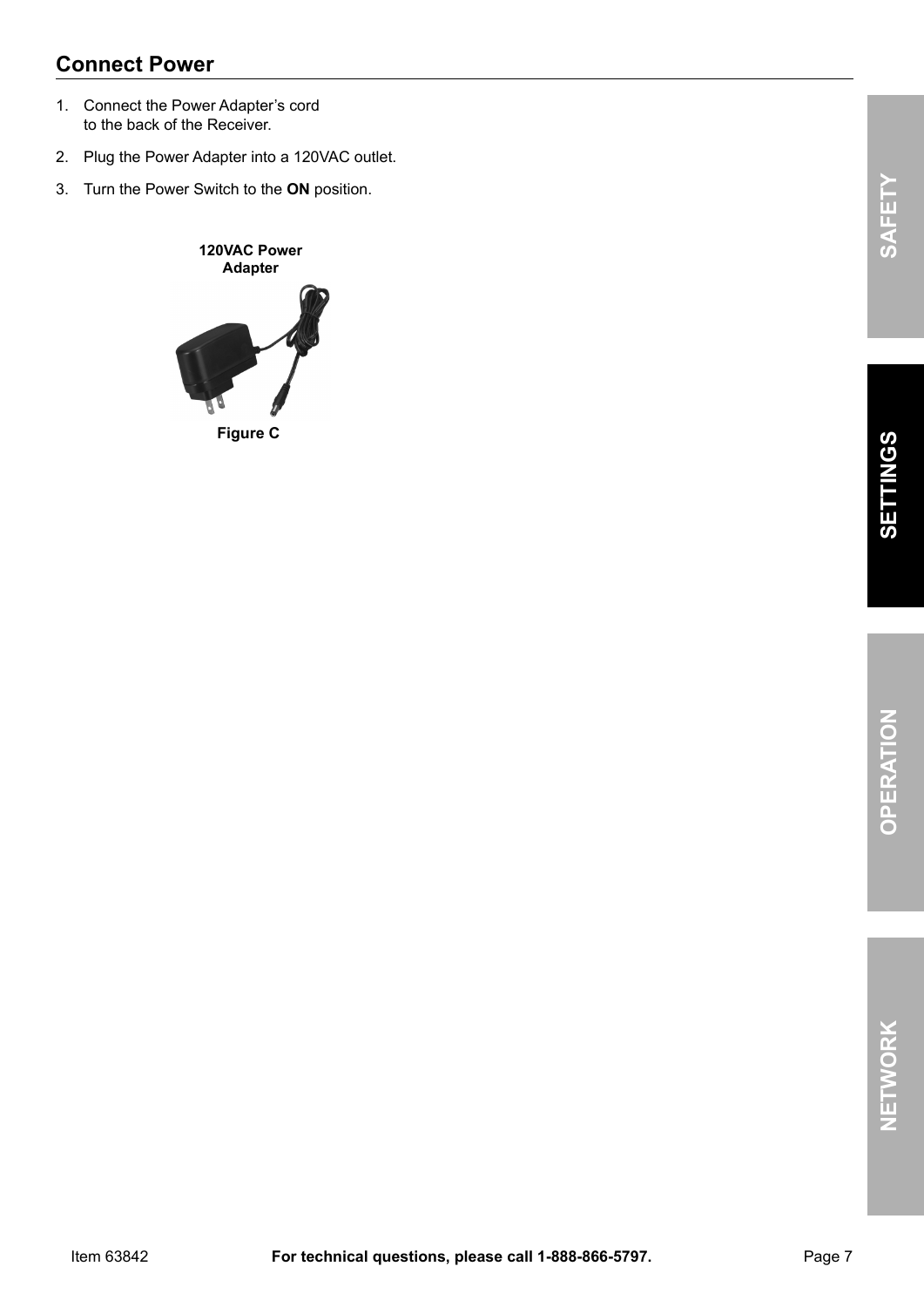#### **Connect power**

- 1. Connect the Power Adapter's cord to the back of the Receiver.
- 2. Plug the Power Adapter into a 120VAC outlet.
- 3. Turn the Power Switch to the **ON** position.

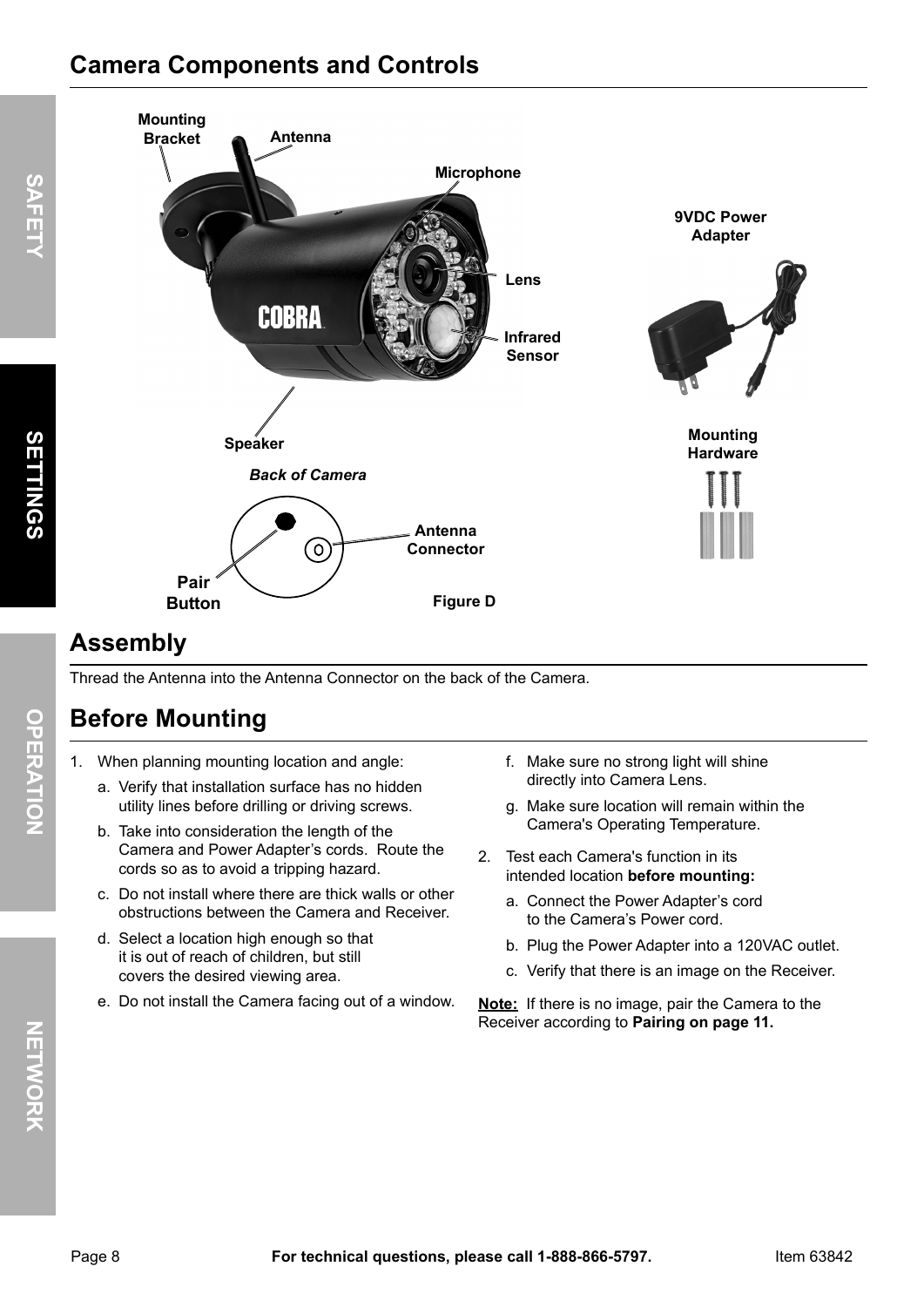## **Camera Components and Controls**



## **Assembly**

Thread the Antenna into the Antenna Connector on the back of the Camera.

## **Before Mounting**

- 1. When planning mounting location and angle:
	- a. Verify that installation surface has no hidden utility lines before drilling or driving screws.
	- b. Take into consideration the length of the Camera and Power Adapter's cords. Route the cords so as to avoid a tripping hazard.
	- c. Do not install where there are thick walls or other obstructions between the Camera and Receiver.
	- d. Select a location high enough so that it is out of reach of children, but still covers the desired viewing area.
	- e. Do not install the Camera facing out of a window.
- f. Make sure no strong light will shine directly into Camera Lens.
- g. Make sure location will remain within the Camera's Operating Temperature.
- 2. Test each Camera's function in its intended location **before mounting:**
	- a. Connect the Power Adapter's cord to the Camera's Power cord.
	- b. Plug the Power Adapter into a 120VAC outlet.
	- c. Verify that there is an image on the Receiver.

**Note:** If there is no image, pair the Camera to the Receiver according to **pairing on page 11.**

**NET**

**WOR**<br>ス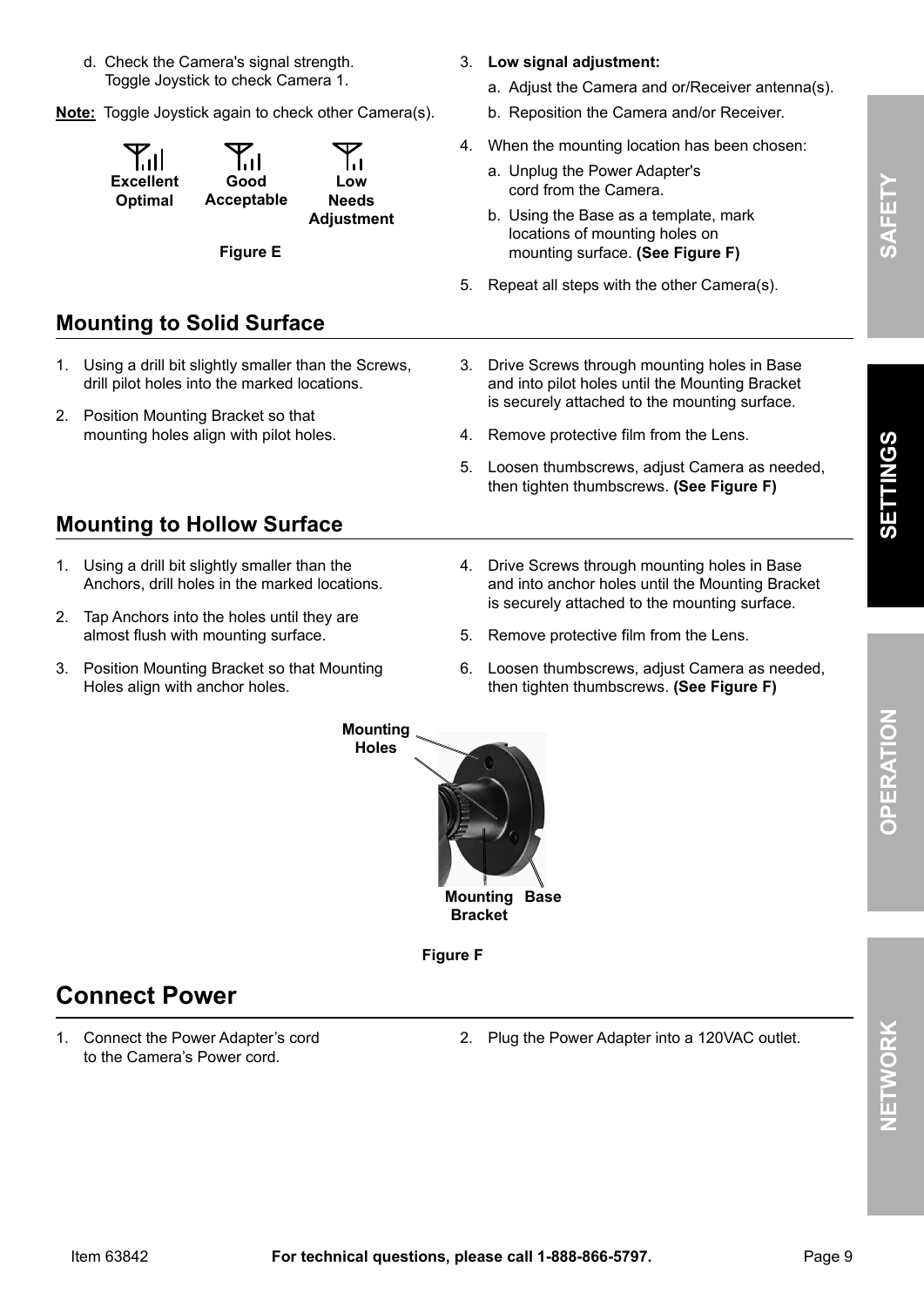- d. Check the Camera's signal strength. Toggle Joystick to check Camera 1.
- **Note:** Toggle Joystick again to check other Camera(s).

| ایا<br>Good<br><b>Excellent</b><br>Optimal<br>Acceptable | ا را<br>Low<br><b>Needs</b><br><b>Adjustment</b> |
|----------------------------------------------------------|--------------------------------------------------|
|----------------------------------------------------------|--------------------------------------------------|

**Figure E**

#### **Mounting to Solid Surface**

- 1. Using a drill bit slightly smaller than the Screws, drill pilot holes into the marked locations.
- 2. Position Mounting Bracket so that mounting holes align with pilot holes.

#### **Mounting to Hollow Surface**

- 1. Using a drill bit slightly smaller than the Anchors, drill holes in the marked locations.
- 2. Tap Anchors into the holes until they are almost flush with mounting surface.
- 3. Position Mounting Bracket so that Mounting Holes align with anchor holes.
- 3. **Low signal adjustment:**
	- a. Adjust the Camera and or/Receiver antenna(s).
	- b. Reposition the Camera and/or Receiver.
- 4. When the mounting location has been chosen:
	- a. Unplug the Power Adapter's cord from the Camera.
	- b. Using the Base as a template, mark locations of mounting holes on mounting surface. **(See Figure F)**
- 5. Repeat all steps with the other Camera(s).
- 3. Drive Screws through mounting holes in Base and into pilot holes until the Mounting Bracket is securely attached to the mounting surface.
- 4. Remove protective film from the Lens.
- 5. Loosen thumbscrews, adjust Camera as needed, then tighten thumbscrews. **(See Figure F)**
- 4. Drive Screws through mounting holes in Base and into anchor holes until the Mounting Bracket is securely attached to the mounting surface.
- 5. Remove protective film from the Lens.
- 6. Loosen thumbscrews, adjust Camera as needed, then tighten thumbscrews. **(See Figure F)**



**Figure F**

#### **Connect power**

1. Connect the Power Adapter's cord to the Camera's Power cord.

2. Plug the Power Adapter into a 120VAC outlet.

**SAFET**

**y**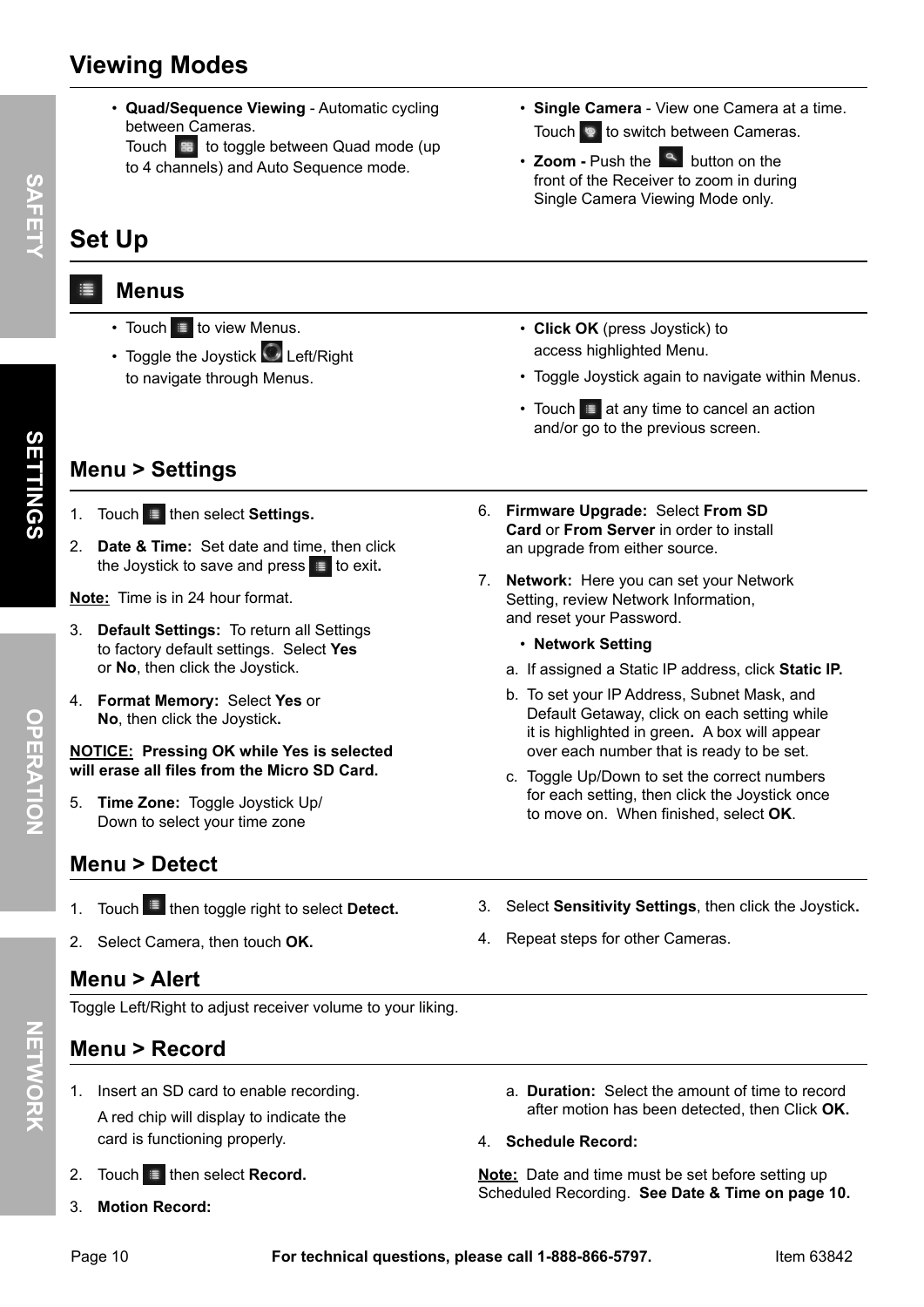## **Viewing Modes**

- **Quad/Sequence Viewing** Automatic cycling between Cameras.
- Touch  $\mathbb{R}$  to toggle between Quad mode (up to 4 channels) and Auto Sequence mode.

## **Set Up**

#### $\equiv$  **Menus**

- Touch  $\equiv$  to view Menus.
- Toggle the Joystick  $\bigcirc$  Left/Right to navigate through Menus.
- **Single Camera** View one Camera at a time. Touch  $\bullet$  to switch between Cameras.
- **Zoom** Push the **quare button on the** front of the Receiver to zoom in during Single Camera Viewing Mode only.
- **Click Ok** (press Joystick) to access highlighted Menu.

6. **Firmware Upgrade:** Select **From SD Card** or **From Server** in order to install

7. **Network:** Here you can set your Network Setting, review Network Information,

an upgrade from either source.

and reset your Password. • **Network Setting** 

- Toggle Joystick again to navigate within Menus.
- Touch  $\equiv$  at any time to cancel an action and/or go to the previous screen.

## **Menu > Settings**

**SAFET**

 $\prec$ 

- 1. Touch **then select Settings.**
- 2. **Date & Time:** Set date and time, then click the Joystick to save and press  $\equiv$  to exit.

**Note:** Time is in 24 hour format.

- 3. **Default Settings:** To return all Settings to factory default settings. Select **yes** or **No**, then click the Joystick.
- 4. **Format Memory:** Select **yes** or **No**, then click the Joystick**.**

#### **NOTICE: pressing Ok while yes is selected will erase all files from the Micro SD Card.**

5. **Time Zone:** Toggle Joystick Up/ Down to select your time zone

- **Menu > Detect**
- 1. Touch **in** then toggle right to select **Detect.**
- 2. Select Camera, then touch **Ok.**

#### **Menu > Alert**

Toggle Left/Right to adjust receiver volume to your liking.

#### **Menu > Record**

- 1. Insert an SD card to enable recording. A red chip will display to indicate the card is functioning properly.
- 2. Touch  $\equiv$  then select **Record.**
- 3. **Motion Record:**

3. Select **Sensitivity Settings**, then click the Joystick**.**

a. If assigned a Static IP address, click **Static Ip.** b. To set your IP Address, Subnet Mask, and Default Getaway, click on each setting while it is highlighted in green**.** A box will appear over each number that is ready to be set. c. Toggle Up/Down to set the correct numbers for each setting, then click the Joystick once to move on. When finished, select **Ok**.

4. Repeat steps for other Cameras.

- a. **Duration:** Select the amount of time to record after motion has been detected, then Click **Ok.**
- 4. **Schedule Record:**

**Note:** Date and time must be set before setting up Scheduled Recording. **See Date & Time on page 10.**

- OPERATION **OpERATION**
- 
-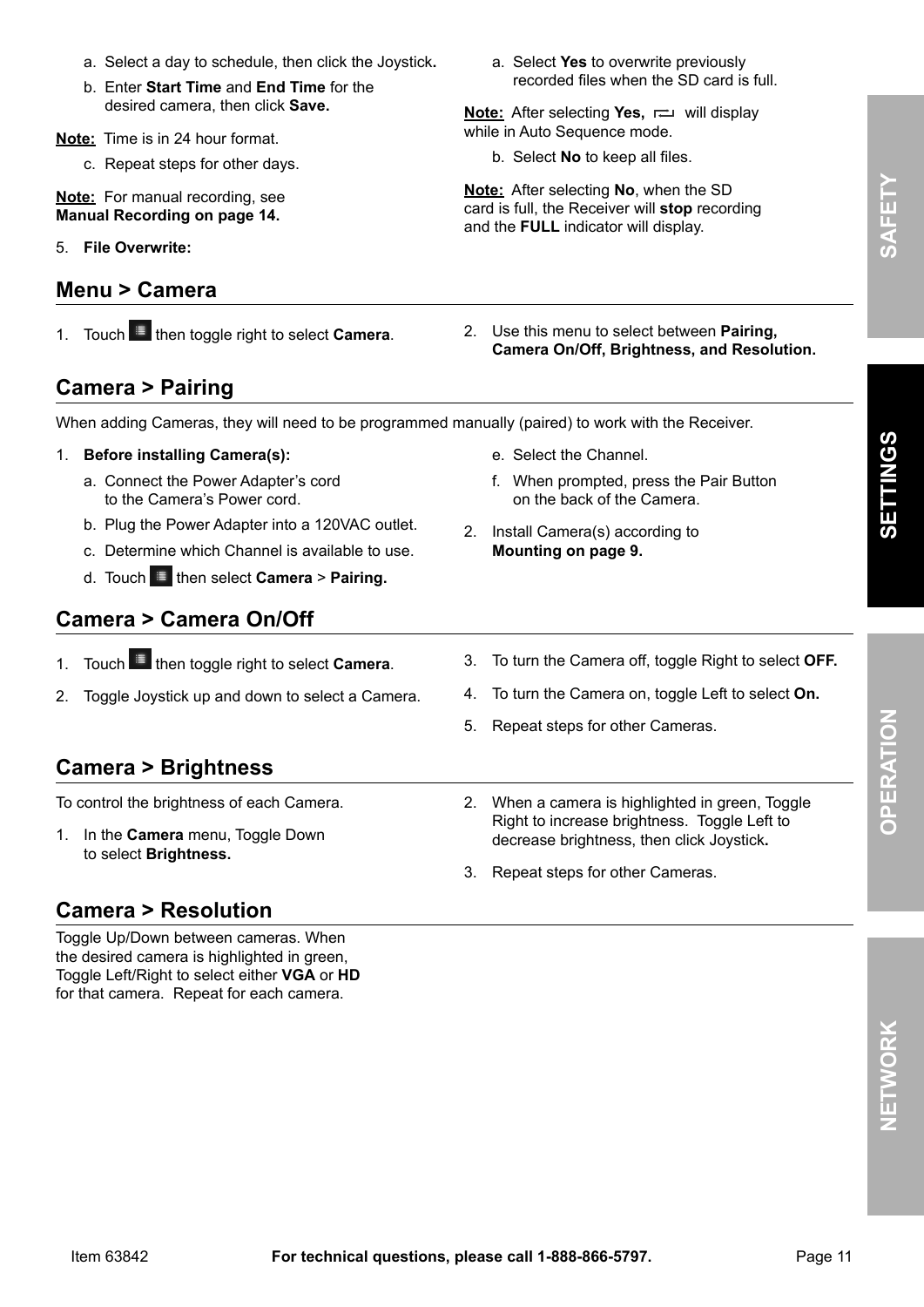- a. Select a day to schedule, then click the Joystick**.**
- b. Enter **Start Time** and **End Time** for the desired camera, then click **Save.**

**Note:** Time is in 24 hour format.

c. Repeat steps for other days.

**Note:** For manual recording, see **Manual Recording on page 14.**

5. **File Overwrite:**

#### **Menu > Camera**

a. Select **yes** to overwrite previously recorded files when the SD card is full.

**Note:** After selecting **Yes**,  $\rightleftharpoons$  will display while in Auto Sequence mode.

b. Select **No** to keep all files.

**Note:** After selecting **No**, when the SD card is full, the Receiver will **stop** recording and the **FULL** indicator will display.

1. Touch **then toggle right to select Camera.** 2. Use this menu to select between **Pairing**, **Camera On/Off, Brightness, and Resolution.**

#### **Camera > pairing**

When adding Cameras, they will need to be programmed manually (paired) to work with the Receiver.

- 1. **Before installing Camera(s):**
	- a. Connect the Power Adapter's cord to the Camera's Power cord.
	- b. Plug the Power Adapter into a 120VAC outlet.
	- c. Determine which Channel is available to use.
	- d. Touch then select **Camera** > **pairing.**

#### **Camera > Camera On/Off**

- 1. Touch **in then toggle right to select Camera.**
- 2. Toggle Joystick up and down to select a Camera.
- 

f. When prompted, press the Pair Button

on the back of the Camera.

- 3. To turn the Camera off, toggle Right to select **OFF.**
- 4. To turn the Camera on, toggle Left to select **On.**

2. When a camera is highlighted in green, Toggle Right to increase brightness. Toggle Left to

5. Repeat steps for other Cameras.

e. Select the Channel.

2. Install Camera(s) according to **Mounting on page 9.**

#### **Camera > Brightness**

To control the brightness of each Camera.

1. In the **Camera** menu, Toggle Down to select **Brightness.**

decrease brightness, then click Joystick**.** 3. Repeat steps for other Cameras.

#### **Camera > Resolution**

Toggle Up/Down between cameras. When the desired camera is highlighted in green, Toggle Left/Right to select either **VgA** or **HD** for that camera. Repeat for each camera.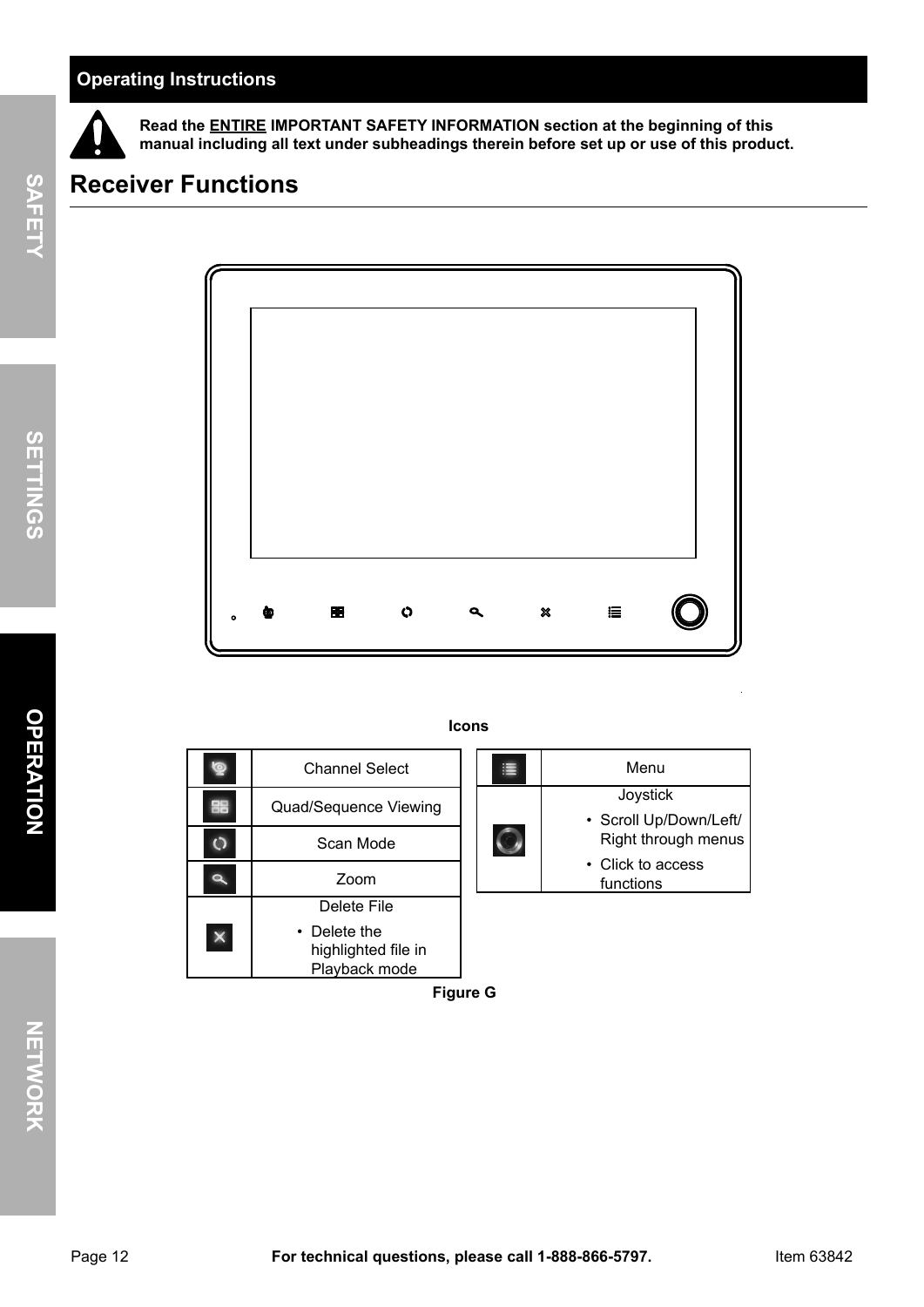#### **Operating Instructions**



**Read the ENTIRE IMpORTANT SAFETy INFORMATION section at the beginning of this manual including all text under subheadings therein before set up or use of this product.**

## **Receiver Functions**



|          | <b>Channel Select</b>                                | 津 | Menu                                          |
|----------|------------------------------------------------------|---|-----------------------------------------------|
| 88       | Quad/Sequence Viewing                                |   | Joystick                                      |
|          | Scan Mode                                            |   | • Scroll Up/Down/Left/<br>Right through menus |
|          | Zoom                                                 |   | • Click to access<br>functions                |
|          | Delete File                                          |   |                                               |
| $\times$ | • Delete the<br>highlighted file in<br>Playback mode |   |                                               |

**Icons**

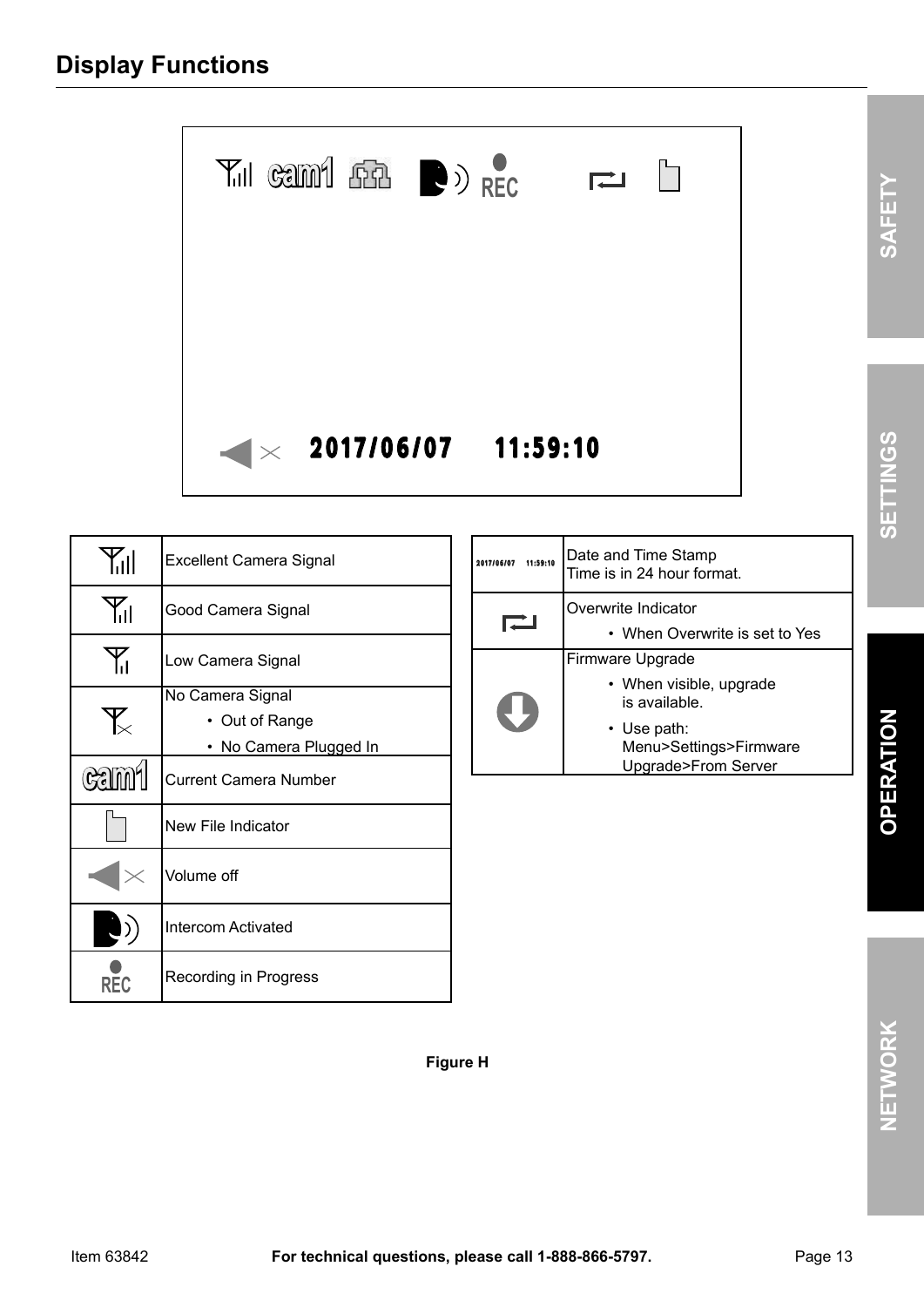

| Yıl         | <b>Excellent Camera Signal</b>                             |  |  |  |
|-------------|------------------------------------------------------------|--|--|--|
| Υı          | Good Camera Signal                                         |  |  |  |
| Y.,         | Low Camera Signal                                          |  |  |  |
| ँ           | No Camera Signal<br>• Out of Range<br>No Camera Plugged In |  |  |  |
| <b>Gami</b> | <b>Current Camera Number</b>                               |  |  |  |
|             | New File Indicator                                         |  |  |  |
|             | Volume off                                                 |  |  |  |
| $\cdot$ )   | <b>Intercom Activated</b>                                  |  |  |  |
| REC         | Recording in Progress                                      |  |  |  |

| 11:59:10<br>2017/1 | Date and Time Stamp<br>Time is in 24 hour format.            |
|--------------------|--------------------------------------------------------------|
|                    |                                                              |
|                    | Overwrite Indicator                                          |
|                    | • When Overwrite is set to Yes                               |
|                    | Firmware Upgrade                                             |
|                    | • When visible, upgrade<br>is available.                     |
|                    | • Use path:<br>Menu>Settings>Firmware<br>Upgrade>From Server |
|                    |                                                              |

**Figure H**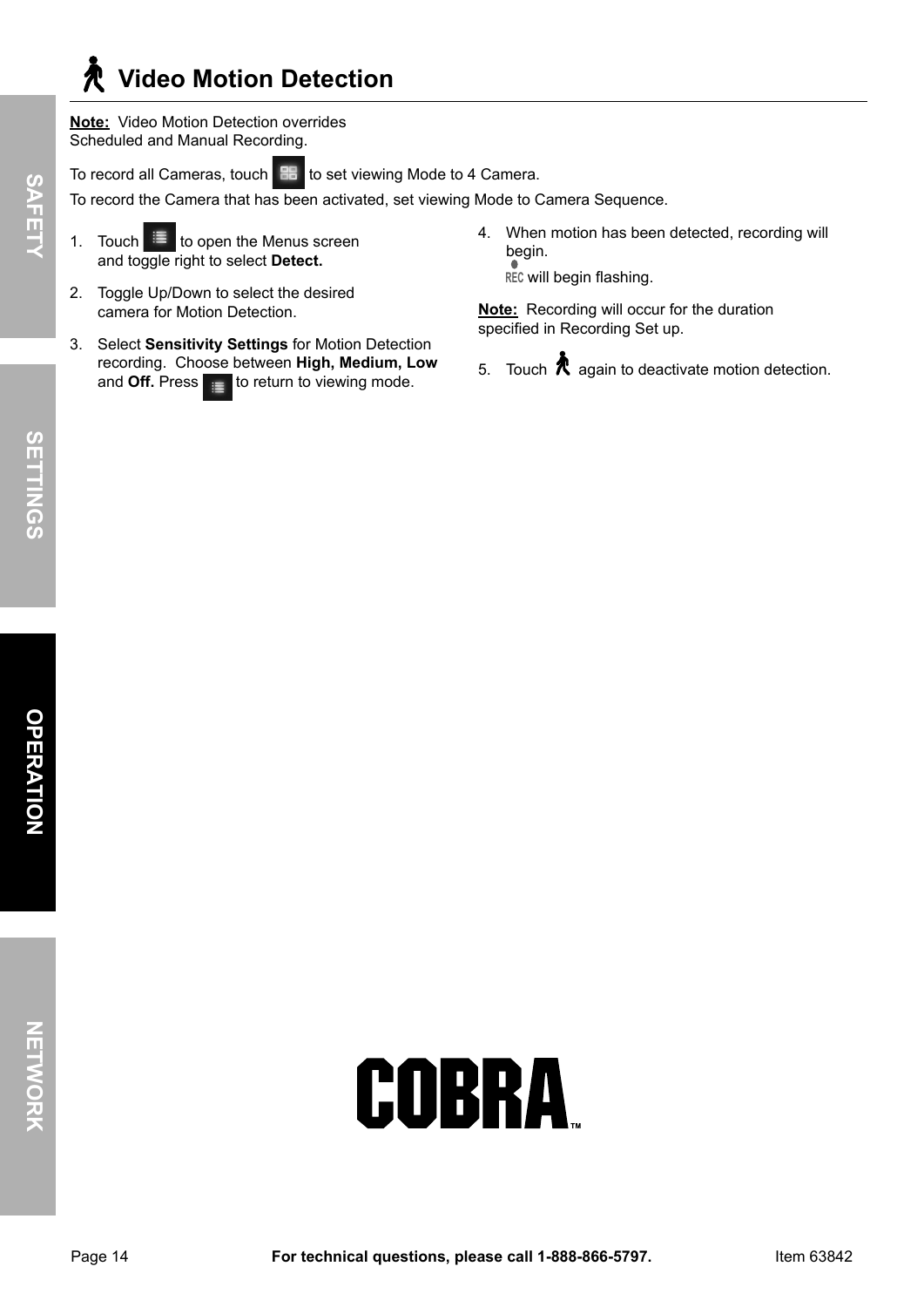## **Video Motion Detection**

**Note:** Video Motion Detection overrides Scheduled and Manual Recording.

To record all Cameras, touch **BB** to set viewing Mode to 4 Camera.

To record the Camera that has been activated, set viewing Mode to Camera Sequence.

- 1. Touch  $\mathbb{E}$  to open the Menus screen and toggle right to select **Detect.**
- 2. Toggle Up/Down to select the desired camera for Motion Detection.
- 3. Select **Sensitivity Settings** for Motion Detection recording. Choose between **High, Medium, Low**  and **Off.** Press  $\mathbf{r} = \mathbf{r}$  to return to viewing mode.
- 4. When motion has been detected, recording will begin.

**REC** will begin flashing.

**Note:** Recording will occur for the duration specified in Recording Set up.

5. Touch  $\bigwedge$  again to deactivate motion detection.

**SAFET**

 $\prec$ 

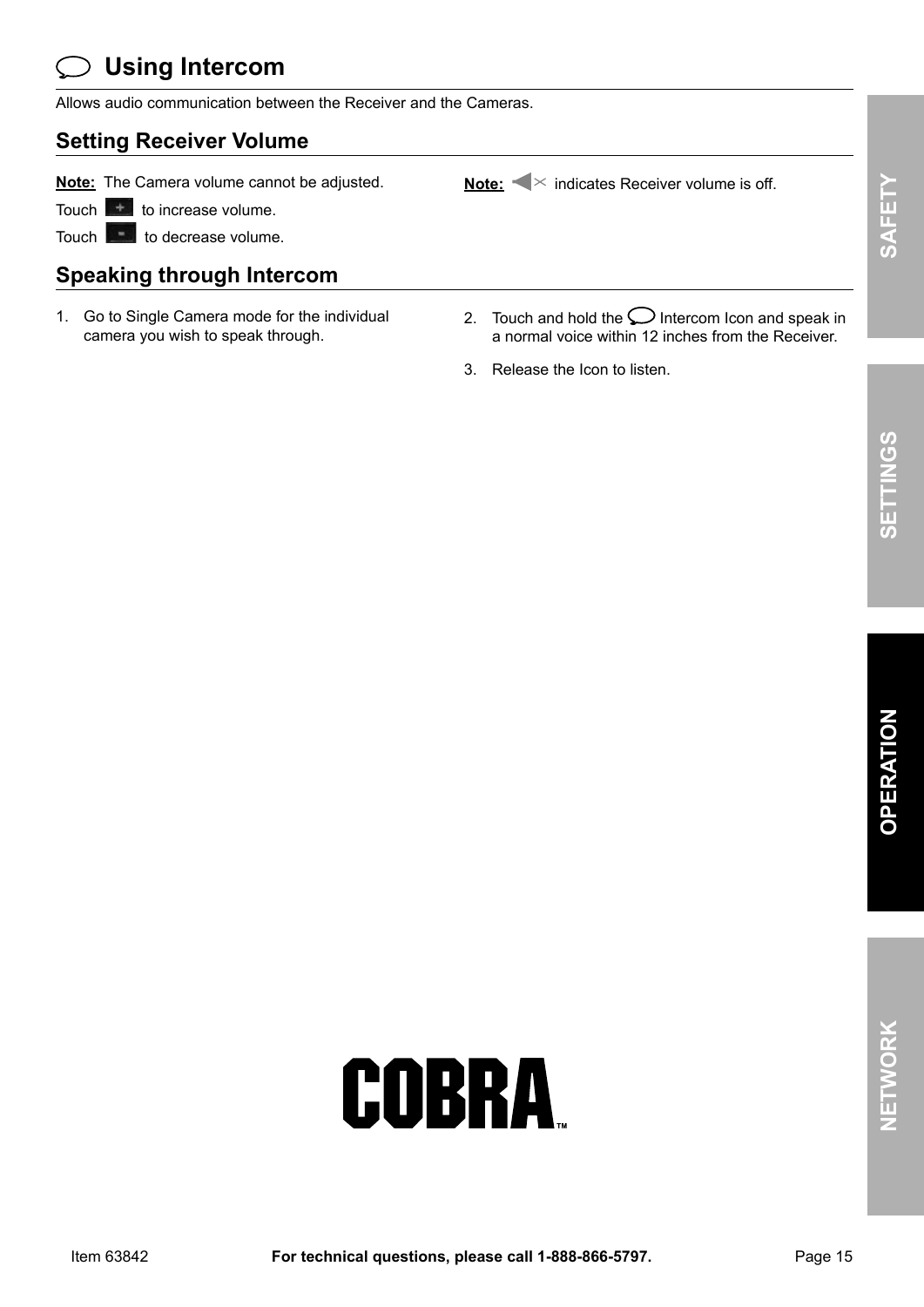## **Using Intercom**

Allows audio communication between the Receiver and the Cameras.

#### **Setting Receiver Volume**

**Note:** The Camera volume cannot be adjusted. Note: **indicates Receiver volume is off.** 

Touch  $\mathbf{t}$  to increase volume.

Touch to decrease volume.

#### **Speaking through Intercom**

- 1. Go to Single Camera mode for the individual camera you wish to speak through.
- 2. Touch and hold the  $\bigcup$  Intercom Icon and speak in a normal voice within 12 inches from the Receiver.
- 3. Release the Icon to listen.

**NET**

**wOR**

**k**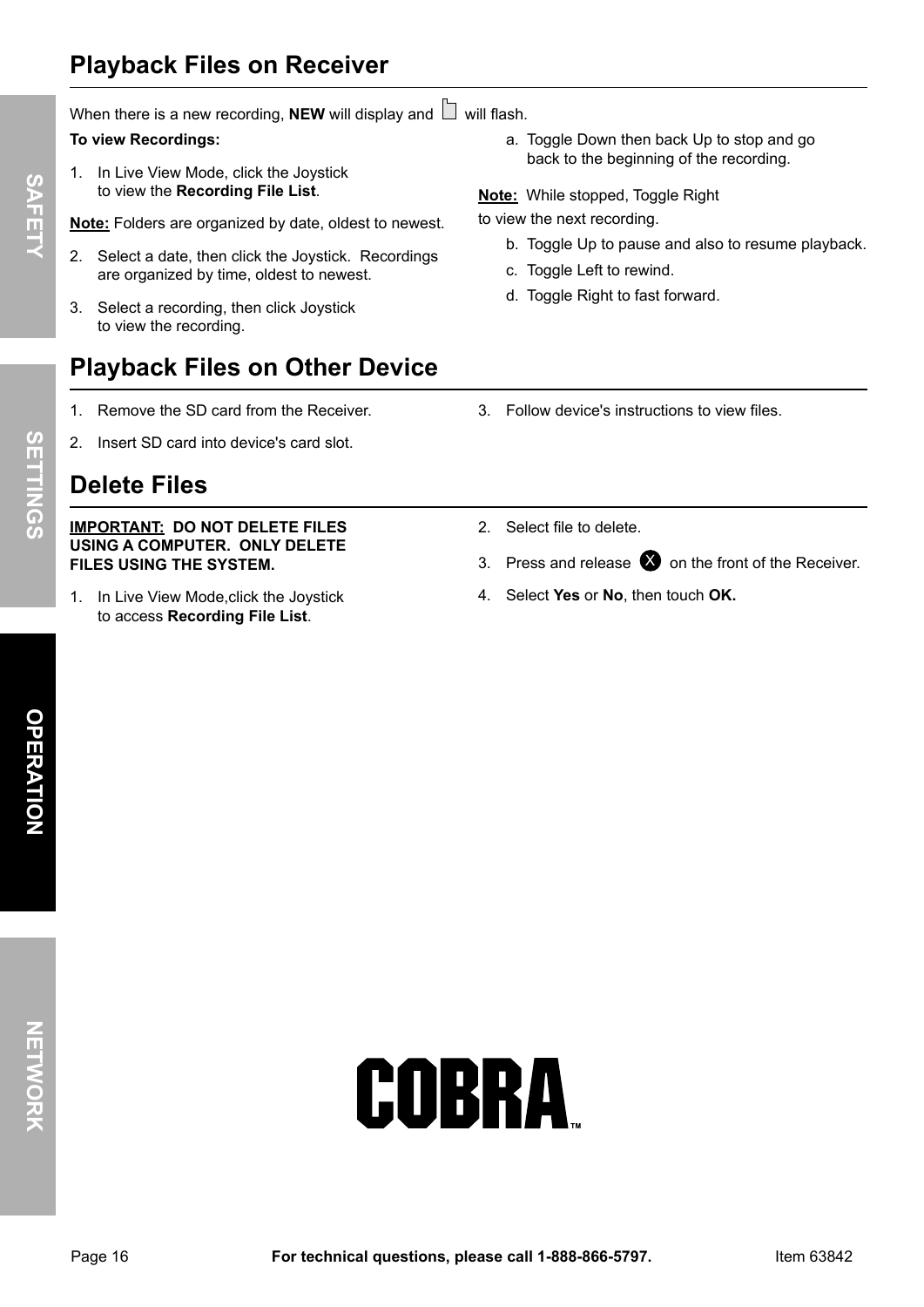## **playback Files on Receiver**

When there is a new recording, **NEW** will display and  $\Box$  will flash.

#### **To view Recordings:**

1. In Live View Mode, click the Joystick to view the **Recording File List**.

**Note:** Folders are organized by date, oldest to newest.

- 2. Select a date, then click the Joystick. Recordings are organized by time, oldest to newest.
- 3. Select a recording, then click Joystick to view the recording.

### **playback Files on Other Device**

- 1. Remove the SD card from the Receiver.
- 2. Insert SD card into device's card slot.

## **Delete Files**

#### **IMpORTANT: DO NOT DELETE FILES USINg A COMpUTER. ONLy DELETE FILES USINg THE SySTEM.**

1. In Live View Mode,click the Joystick to access **Recording File List**.

a. Toggle Down then back Up to stop and go back to the beginning of the recording.

**Note:** While stopped, Toggle Right

to view the next recording.

- b. Toggle Up to pause and also to resume playback.
- c. Toggle Left to rewind.
- d. Toggle Right to fast forward.
- 3. Follow device's instructions to view files.
- 2. Select file to delete.
- 3. Press and release  $\bullet$  on the front of the Receiver.
- 4. Select **yes** or **No**, then touch **Ok.**

COBRA

**SAFET**

 $\prec$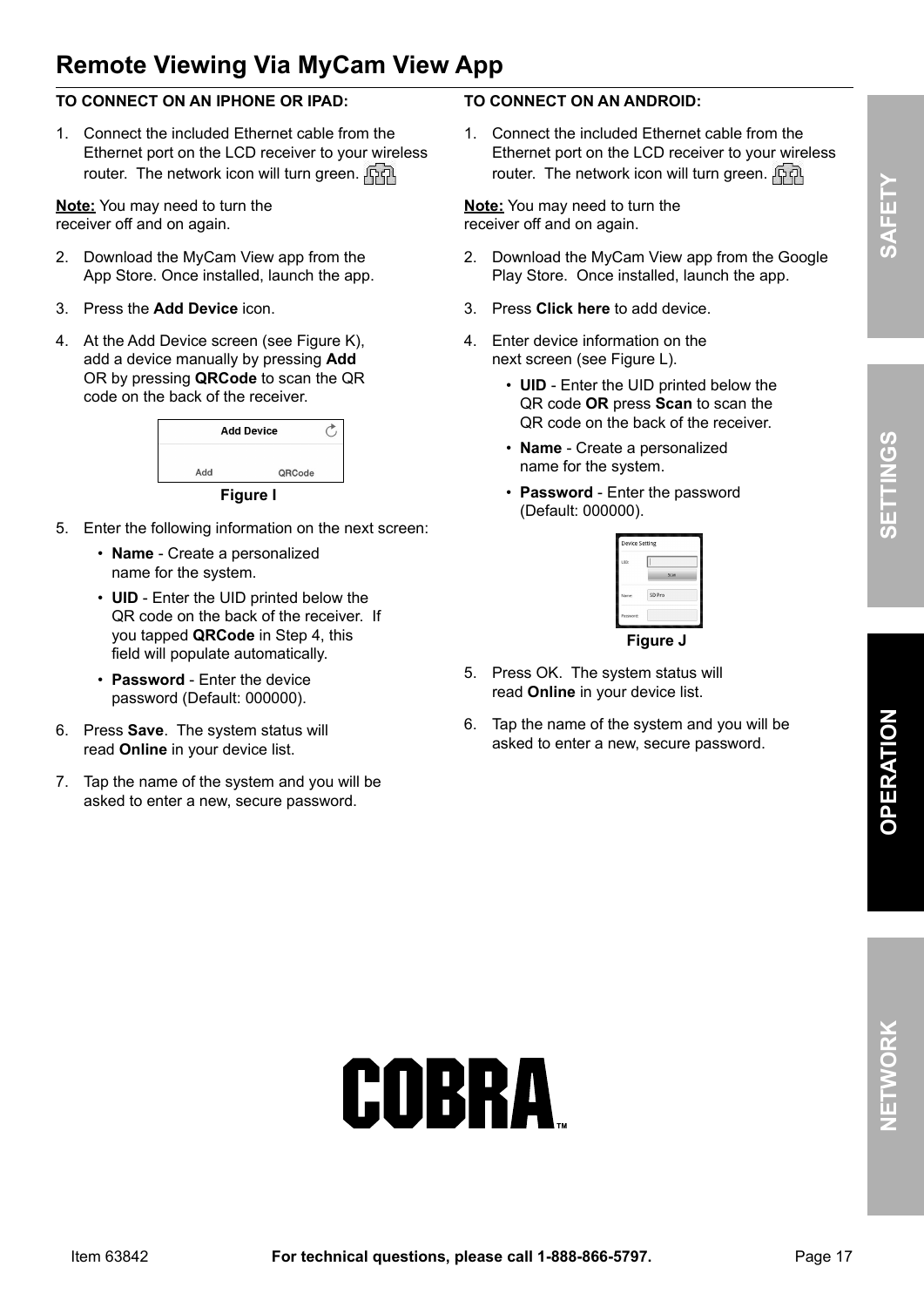## **Remote Viewing Via MyCam View App**

#### **TO CONNECT ON AN IpHONE OR IpAD:**

1. Connect the included Ethernet cable from the Ethernet port on the LCD receiver to your wireless router. The network icon will turn green.  $\int \nabla f \cdot d\vec{r}$ 

**Note:** You may need to turn the receiver off and on again.

- 2. Download the MyCam View app from the App Store. Once installed, launch the app.
- 3. Press the **Add Device** icon.
- 4. At the Add Device screen (see Figure K), add a device manually by pressing **Add** OR by pressing **QRCode** to scan the QR code on the back of the receiver.



- 
- 5. Enter the following information on the next screen:
	- **Name** Create a personalized name for the system.
	- **UID**  Enter the UID printed below the QR code on the back of the receiver. If you tapped **QRCode** in Step 4, this field will populate automatically.
	- **password**  Enter the device password (Default: 000000).
- 6. Press **Save**. The system status will read **Online** in your device list.
- 7. Tap the name of the system and you will be asked to enter a new, secure password.

#### **TO CONNECT ON AN ANDROID:**

1. Connect the included Ethernet cable from the Ethernet port on the LCD receiver to your wireless router. The network icon will turn green.  $\overline{R}$ 

**Note:** You may need to turn the receiver off and on again.

- 2. Download the MyCam View app from the Google Play Store. Once installed, launch the app.
- 3. Press **Click here** to add device.
- 4. Enter device information on the next screen (see Figure L).
	- **UID** Enter the UID printed below the QR code **OR** press **Scan** to scan the QR code on the back of the receiver.
	- **Name** Create a personalized name for the system.
	- **password** Enter the password (Default: 000000).

| UID:      |        |
|-----------|--------|
|           | Scan   |
|           |        |
| Name:     | SD Pro |
| Password: |        |

#### **Figure J**

- 5. Press OK. The system status will read **Online** in your device list.
- 6. Tap the name of the system and you will be asked to enter a new, secure password.

# COBRA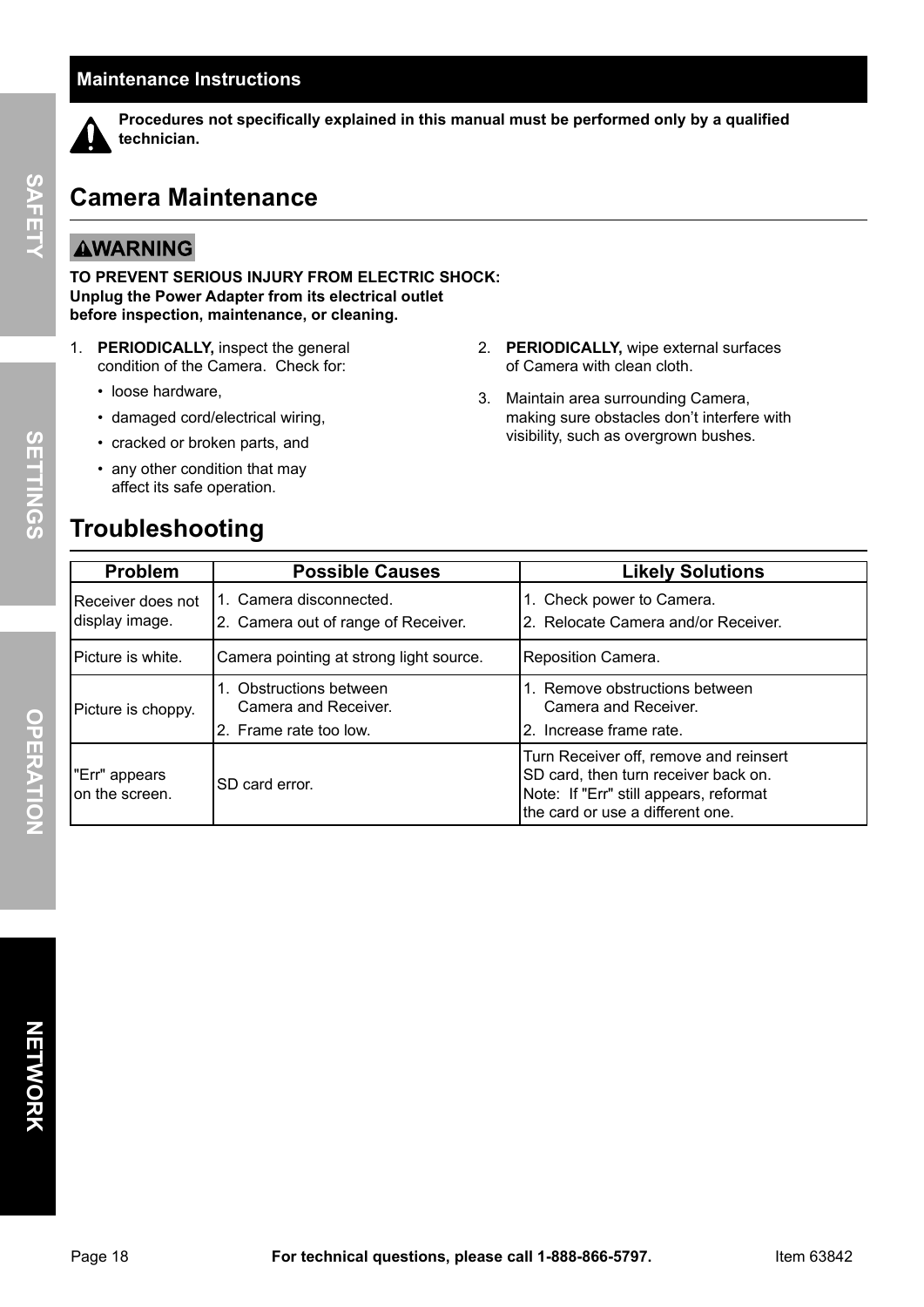#### **Maintenance Instructions**



 **procedures not specifically explained in this manual must be performed only by a qualified technician.**

#### **Camera Maintenance**

#### **AWARNING**

**TO pREVENT SERIOUS INJURy FROM ELECTRIC SHOCk: Unplug the power Adapter from its electrical outlet before inspection, maintenance, or cleaning.**

- 1. **pERIODICALLy,** inspect the general condition of the Camera. Check for:
	- loose hardware,
	- damaged cord/electrical wiring,
	- cracked or broken parts, and
	- any other condition that may affect its safe operation.

#### **Troubleshooting**

- 2. **pERIODICALLy,** wipe external surfaces of Camera with clean cloth.
- 3. Maintain area surrounding Camera, making sure obstacles don't interfere with visibility, such as overgrown bushes.

| <b>Problem</b>                       | <b>Possible Causes</b>                                                    | <b>Likely Solutions</b>                                                                                                                                      |
|--------------------------------------|---------------------------------------------------------------------------|--------------------------------------------------------------------------------------------------------------------------------------------------------------|
| IReceiver does not<br>display image. | 1. Camera disconnected.<br>2. Camera out of range of Receiver.            | 1. Check power to Camera.<br>2. Relocate Camera and/or Receiver.                                                                                             |
| Picture is white.                    | Camera pointing at strong light source.                                   | Reposition Camera.                                                                                                                                           |
| Picture is choppy.                   | 1. Obstructions between<br>Camera and Receiver.<br>2. Frame rate too low. | 1. Remove obstructions between<br>Camera and Receiver.<br>2. Increase frame rate.                                                                            |
| l"Err" appears<br>lon the screen.    | SD card error.                                                            | Turn Receiver off, remove and reinsert<br>SD card, then turn receiver back on.<br>Note: If "Err" still appears, reformat<br>the card or use a different one. |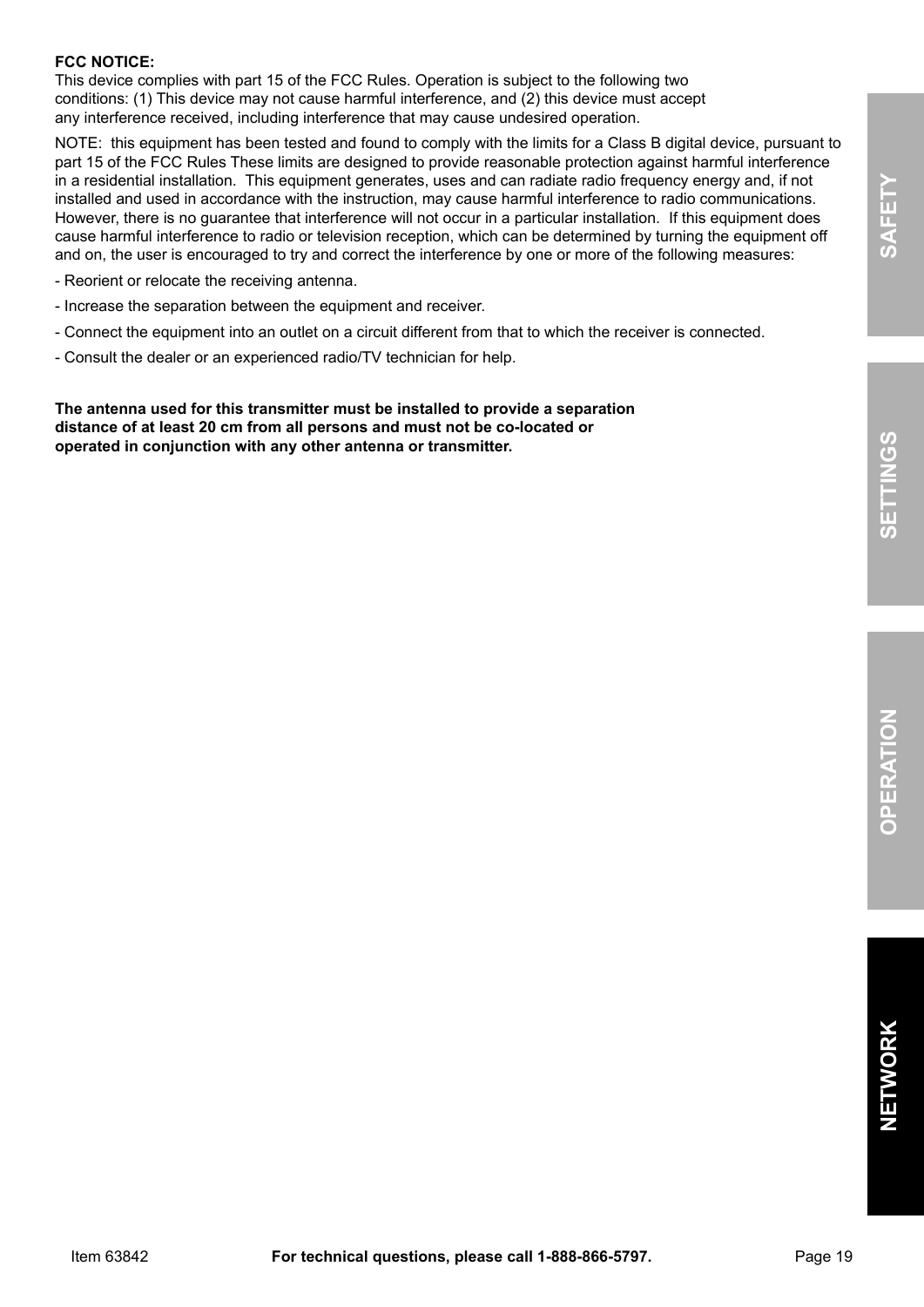#### **FCC NOTICE:**

This device complies with part 15 of the FCC Rules. Operation is subject to the following two conditions: (1) This device may not cause harmful interference, and (2) this device must accept any interference received, including interference that may cause undesired operation.

NOTE: this equipment has been tested and found to comply with the limits for a Class B digital device, pursuant to part 15 of the FCC Rules These limits are designed to provide reasonable protection against harmful interference in a residential installation. This equipment generates, uses and can radiate radio frequency energy and, if not installed and used in accordance with the instruction, may cause harmful interference to radio communications. However, there is no guarantee that interference will not occur in a particular installation. If this equipment does cause harmful interference to radio or television reception, which can be determined by turning the equipment off and on, the user is encouraged to try and correct the interference by one or more of the following measures:

- Reorient or relocate the receiving antenna.
- Increase the separation between the equipment and receiver.
- Connect the equipment into an outlet on a circuit different from that to which the receiver is connected.
- Consult the dealer or an experienced radio/TV technician for help.

**The antenna used for this transmitter must be installed to provide a separation distance of at least 20 cm from all persons and must not be co-located or operated in conjunction with any other antenna or transmitter.**